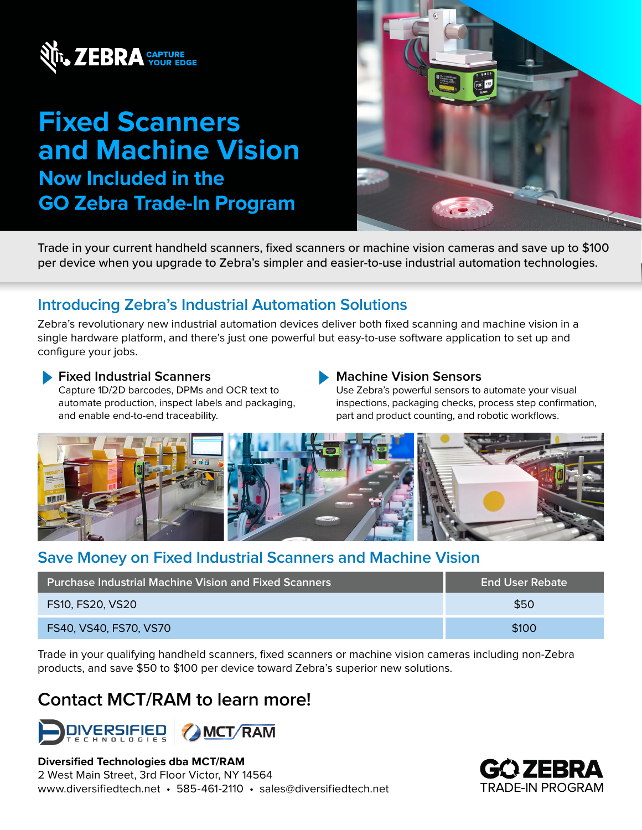

# **Fixed Scanners and Machine Vision Now Included in the GO Zebra Trade-In Program**



Trade in your current handheld scanners, fixed scanners or machine vision cameras and save up to \$100 per device when you upgrade to Zebra's simpler and easier-to-use industrial automation technologies.

# **Introducing Zebra's Industrial Automation Solutions**

Zebra's revolutionary new industrial automation devices deliver both fixed scanning and machine vision in a single hardware platform, and there's just one powerful but easy-to-use software application to set up and configure your jobs.

#### **Fixed Industrial Scanners**

Capture 1D/2D barcodes, DPMs and OCR text to automate production, inspect labels and packaging, and enable end-to-end traceability.

#### **Machine Vision Sensors**

Use Zebra's powerful sensors to automate your visual inspections, packaging checks, process step confirmation, part and product counting, and robotic workflows.



# **Save Money on Fixed Industrial Scanners and Machine Vision**

| <b>Purchase Industrial Machine Vision and Fixed Scanners</b> | <b>End User Rebate</b> |
|--------------------------------------------------------------|------------------------|
| <b>FS10, FS20, VS20</b>                                      | \$50                   |
| FS40, VS40, FS70, VS70                                       | \$100                  |

Trade in your qualifying handheld scanners, fixed scanners or machine vision cameras including non-Zebra products, and save \$50 to \$100 per device toward Zebra's superior new solutions.

# **Contact MCT/RAM to learn more!**



#### **Diversified Technologies dba MCT/RAM**

2 West Main Street, 3rd Floor Victor, NY 14564 www.diversifiedtech.net • 585-461-2110 • sales@diversifiedtech.net